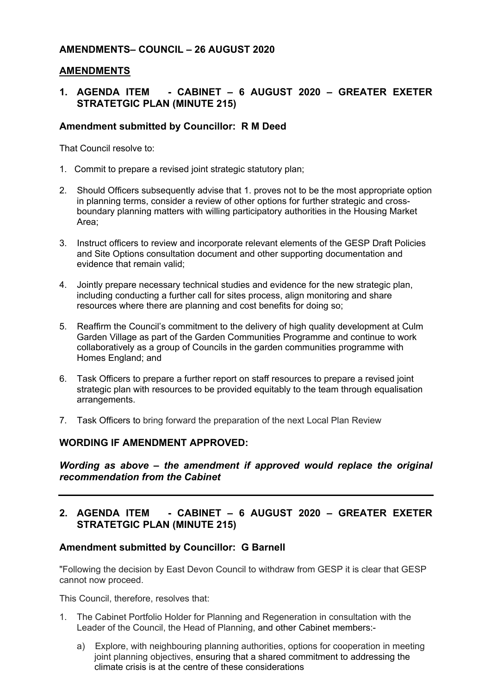## **AMENDMENTS– COUNCIL – 26 AUGUST 2020**

#### **AMENDMENTS**

## **1. AGENDA ITEM - CABINET – 6 AUGUST 2020 – GREATER EXETER STRATETGIC PLAN (MINUTE 215)**

#### **Amendment submitted by Councillor: R M Deed**

That Council resolve to:

- 1. Commit to prepare a revised joint strategic statutory plan;
- 2. Should Officers subsequently advise that 1. proves not to be the most appropriate option in planning terms, consider a review of other options for further strategic and crossboundary planning matters with willing participatory authorities in the Housing Market Area;
- 3. Instruct officers to review and incorporate relevant elements of the GESP Draft Policies and Site Options consultation document and other supporting documentation and evidence that remain valid;
- 4. Jointly prepare necessary technical studies and evidence for the new strategic plan, including conducting a further call for sites process, align monitoring and share resources where there are planning and cost benefits for doing so;
- 5. Reaffirm the Council's commitment to the delivery of high quality development at Culm Garden Village as part of the Garden Communities Programme and continue to work collaboratively as a group of Councils in the garden communities programme with Homes England; and
- 6. Task Officers to prepare a further report on staff resources to prepare a revised joint strategic plan with resources to be provided equitably to the team through equalisation arrangements.
- 7. Task Officers to bring forward the preparation of the next Local Plan Review

### **WORDING IF AMENDMENT APPROVED:**

*Wording as above – the amendment if approved would replace the original recommendation from the Cabinet*

### **2. AGENDA ITEM - CABINET – 6 AUGUST 2020 – GREATER EXETER STRATETGIC PLAN (MINUTE 215)**

#### **Amendment submitted by Councillor: G Barnell**

"Following the decision by East Devon Council to withdraw from GESP it is clear that GESP cannot now proceed.

This Council, therefore, resolves that:

- 1. The Cabinet Portfolio Holder for Planning and Regeneration in consultation with the Leader of the Council, the Head of Planning, and other Cabinet members:
	- a) Explore, with neighbouring planning authorities, options for cooperation in meeting joint planning objectives, ensuring that a shared commitment to addressing the climate crisis is at the centre of these considerations